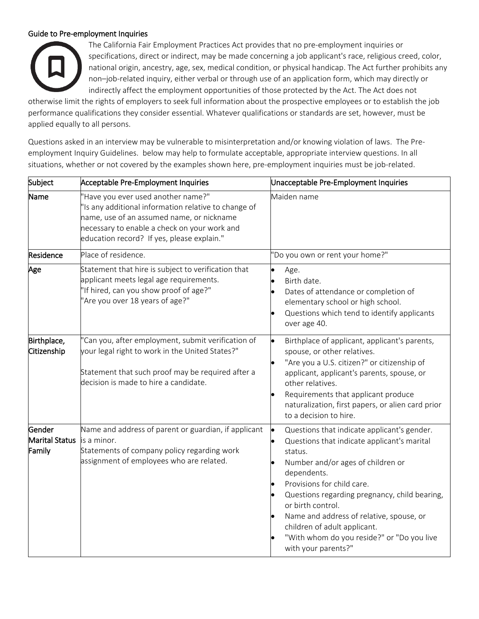## Guide to Pre-employment Inquiries



The California Fair Employment Practices Act provides that no pre-employment inquiries or specifications, direct or indirect, may be made concerning a job applicant's race, religious creed, color, national origin, ancestry, age, sex, medical condition, or physical handicap. The Act further prohibits any non–job-related inquiry, either verbal or through use of an application form, which may directly or indirectly affect the employment opportunities of those protected by the Act. The Act does not

otherwise limit the rights of employers to seek full information about the prospective employees or to establish the job performance qualifications they consider essential. Whatever qualifications or standards are set, however, must be applied equally to all persons.

Questions asked in an interview may be vulnerable to misinterpretation and/or knowing violation of laws. The Preemployment Inquiry Guidelines. below may help to formulate acceptable, appropriate interview questions. In all situations, whether or not covered by the examples shown here, pre-employment inquiries must be job-related.

| Subject                            | Acceptable Pre-Employment Inquiries                                                                                                                                                                                                   | Unacceptable Pre-Employment Inquiries                                                                                                                                                                                                                                                                                                                                                                                                    |
|------------------------------------|---------------------------------------------------------------------------------------------------------------------------------------------------------------------------------------------------------------------------------------|------------------------------------------------------------------------------------------------------------------------------------------------------------------------------------------------------------------------------------------------------------------------------------------------------------------------------------------------------------------------------------------------------------------------------------------|
| Name                               | 'Have you ever used another name?"<br>'Is any additional information relative to change of<br>name, use of an assumed name, or nickname<br>necessary to enable a check on your work and<br>education record? If yes, please explain." | Maiden name                                                                                                                                                                                                                                                                                                                                                                                                                              |
| Residence                          | Place of residence.                                                                                                                                                                                                                   | 'Do you own or rent your home?"                                                                                                                                                                                                                                                                                                                                                                                                          |
| Age                                | Statement that hire is subject to verification that<br>applicant meets legal age requirements.<br>'If hired, can you show proof of age?"<br>'Are you over 18 years of age?"                                                           | $\bullet$<br>Age.<br>Birth date.<br>Dates of attendance or completion of<br>elementary school or high school.<br>Questions which tend to identify applicants<br>over age 40.                                                                                                                                                                                                                                                             |
| Birthplace,<br>Citizenship         | 'Can you, after employment, submit verification of<br>your legal right to work in the United States?"<br>Statement that such proof may be required after a<br>decision is made to hire a candidate.                                   | l.<br>Birthplace of applicant, applicant's parents,<br>spouse, or other relatives.<br>"Are you a U.S. citizen?" or citizenship of<br>applicant, applicant's parents, spouse, or<br>other relatives.<br>Requirements that applicant produce<br>naturalization, first papers, or alien card prior<br>to a decision to hire.                                                                                                                |
| Gender<br>Marital Status<br>Family | Name and address of parent or guardian, if applicant<br>is a minor.<br>Statements of company policy regarding work<br>assignment of employees who are related.                                                                        | <b>le</b><br>Questions that indicate applicant's gender.<br>Questions that indicate applicant's marital<br>$\bullet$<br>status.<br>Number and/or ages of children or<br>dependents.<br>Provisions for child care.<br>Questions regarding pregnancy, child bearing,<br>or birth control.<br>Name and address of relative, spouse, or<br>children of adult applicant.<br>"With whom do you reside?" or "Do you live<br>with your parents?" |